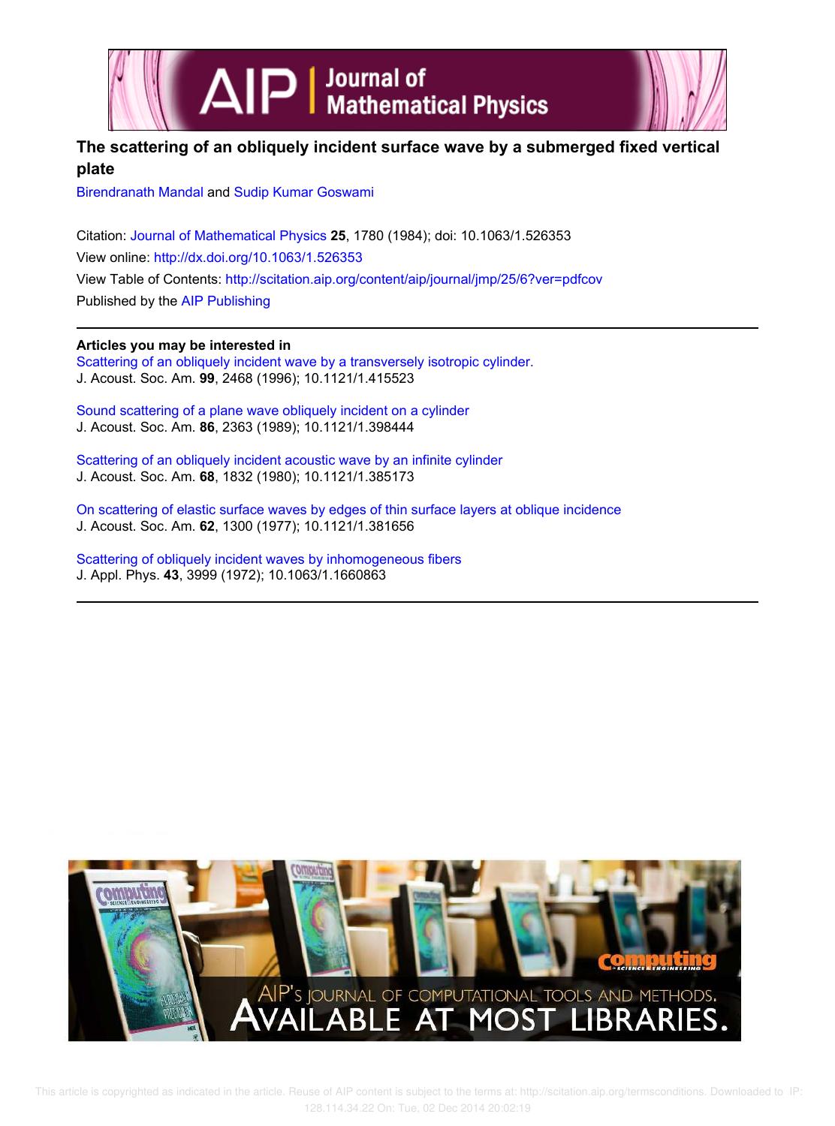



# **The scattering of an obliquely incident surface wave by a submerged fixed vertical plate**

Birendranath Mandal and Sudip Kumar Goswami

Citation: Journal of Mathematical Physics **25**, 1780 (1984); doi: 10.1063/1.526353 View online: http://dx.doi.org/10.1063/1.526353 View Table of Contents: http://scitation.aip.org/content/aip/journal/jmp/25/6?ver=pdfcov Published by the AIP Publishing

# **Articles you may be interested in**

Scattering of an obliquely incident wave by a transversely isotropic cylinder. J. Acoust. Soc. Am. **99**, 2468 (1996); 10.1121/1.415523

Sound scattering of a plane wave obliquely incident on a cylinder J. Acoust. Soc. Am. **86**, 2363 (1989); 10.1121/1.398444

Scattering of an obliquely incident acoustic wave by an infinite cylinder J. Acoust. Soc. Am. **68**, 1832 (1980); 10.1121/1.385173

On scattering of elastic surface waves by edges of thin surface layers at oblique incidence J. Acoust. Soc. Am. **62**, 1300 (1977); 10.1121/1.381656

Scattering of obliquely incident waves by inhomogeneous fibers J. Appl. Phys. **43**, 3999 (1972); 10.1063/1.1660863

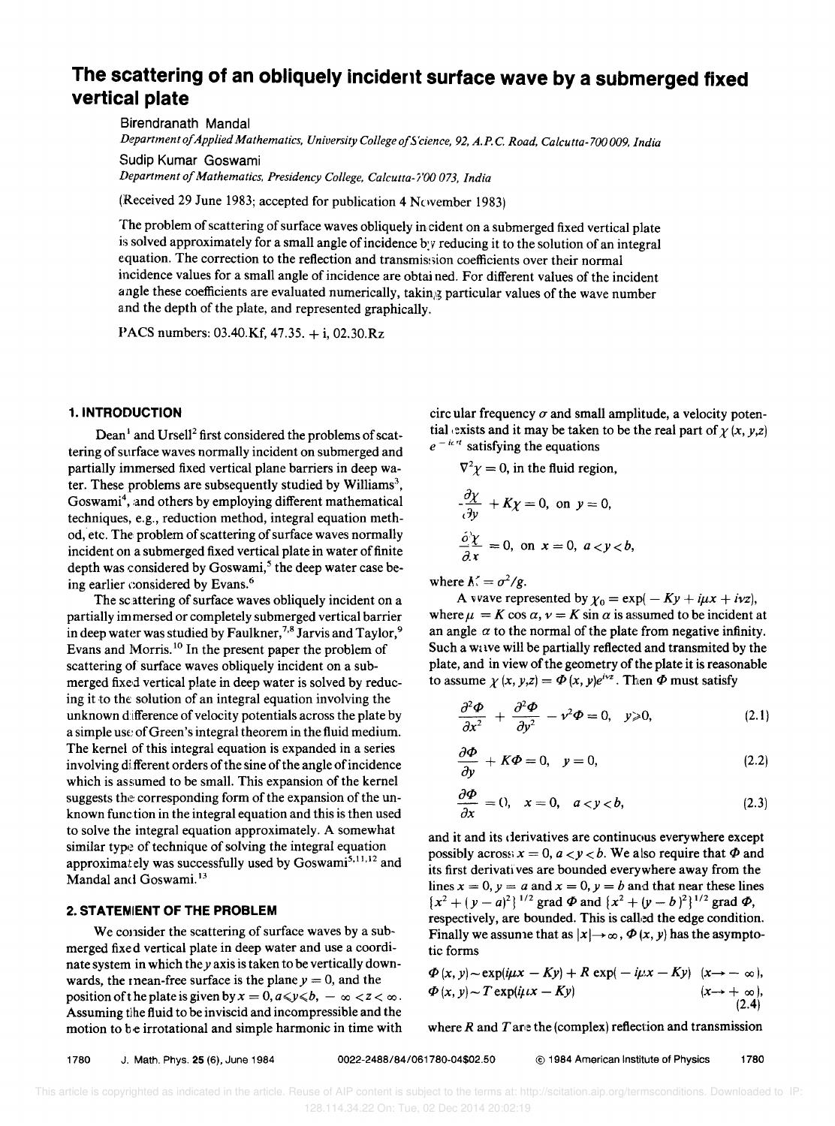# **The scattering of an obliquely incident surface wave by a submerged fixed vertical plate**

Birendranath Mandai *Department of Applied Mathematics, University College of5 'cience,* 92, *A.P.* C. *Road, Calcutta-700 009, India* 

Sudip Kumar Goswami *Department of Mathematics, Presidency College, Calcutta-i'OO 073, India* 

(Received 29 June 1983; accepted for publication 4 November 1983)

The problem of scattering of surface waves obliquely incident on a submerged fixed vertical plate is solved approximately for a small angle of incidence *b:v* reducing it to the solution of an integral equation. The correction to the reflection and transmission coefficients over their normal incidence values for a small angle of incidence are obtai ned. For different values of the incident angle these coefficients are evaluated numerically, takin,g particular values of the wave number and the depth of the plate, and represented graphically.

PACS numbers: 03.40.Kf, 47.35. + i, 02.30.Rz

#### 1. INTRODUCTION

Dean<sup>1</sup> and Ursell<sup>2</sup> first considered the problems of scattering of surface waves normally incident on submerged and partially immersed fixed vertical plane barriers in deep water. These problems are subsequently studied by Williams<sup>3</sup>, Goswami<sup>4</sup>, and others by employing different mathematical techniques, e.g., reduction method, integral equation method, etc. The problem of scattering of surface waves normally incident on a submerged fixed vertical plate in water of finite depth was considered by Goswami,<sup>5</sup> the deep water case being earlier considered by Evans. <sup>6</sup>

The scattering of surface waves obliquely incident on a partially im mersed or completely submerged vertical barrier in deep water was studied by Faulkner,<sup>7,8</sup> Jarvis and Taylor,<sup>9</sup> Evans and Morris. 10 In the present paper the problem of scattering of surface waves obliquely incident on a submerged fixed vertical plate in deep water is solved by reducing it to the solution of an integral equation involving the unknown difference of velocity potentials across the plate by a simple use of Green's integral theorem in the fluid medium. The kernel of this integral equation is expanded in a series involving di fferent orders of the sine of the angle of incidence which is assumed to be small. This expansion of the kernel suggests the corresponding form of the expansion of the unknown function in the integral equation and this is then used to solve the integral equation approximately. A somewhat similar type of technique of solving the integral equation approximately was successfully used by Goswami<sup>5,11,12</sup> and Mandal and Goswami.<sup>13</sup>

# 2. **STATENIENT OF THE PROBLEM**

We consider the scattering of surface waves by a submerged fixed vertical plate in deep water and use a coordinate system in which they axis is taken to be vertically downwards, the mean-free surface is the plane  $y = 0$ , and the position of the plate is given by  $x=0$ ,  $a\le y\le b$ ,  $-\infty < z < \infty$ . Assuming tlhe fluid to be inviscid and incompressible and the motion to be irrotational and simple harmonic in time with circ ular frequency  $\sigma$  and small amplitude, a velocity potential exists and it may be taken to be the real part of  $\chi(x, y, z)$  $e^{-i\alpha t}$  satisfying the equations

$$
\nabla^2 \chi = 0, \text{ in the fluid region,}
$$
  
\n
$$
\frac{\partial \chi}{\partial y} + K\chi = 0, \text{ on } y = 0,
$$
  
\n
$$
\frac{\partial^2 \chi}{\partial x} = 0, \text{ on } x = 0, a < y < b,
$$

where  $K = \sigma^2/g$ .

A vvave represented by  $\chi_0 = \exp(-Ky + i\mu x + i\nu z)$ , where  $\mu = K \cos \alpha$ ,  $\nu = K \sin \alpha$  is assumed to be incident at an angle  $\alpha$  to the normal of the plate from negative infinity. Such a wave will be partially reflected and transmited by the plate, and in view of the geometry of the plate it is reasonable to assume  $\chi(x, y, z) = \Phi(x, y)e^{iyz}$ . Then  $\Phi$  must satisfy

$$
\frac{\partial^2 \Phi}{\partial x^2} + \frac{\partial^2 \Phi}{\partial y^2} - v^2 \Phi = 0, \quad y \ge 0,
$$
 (2.1)

$$
\frac{\partial \Phi}{\partial y} + K\Phi = 0, \quad y = 0,
$$
\n(2.2)

$$
\frac{\partial \Phi}{\partial x} = 0, \quad x = 0, \quad a < y < b,\tag{2.3}
$$

and it and its derivatives are continuous everywhere except possibly across  $x = 0$ ,  $a < y < b$ . We also require that  $\Phi$  and its first derivatives are bounded everywhere away from the lines  $x = 0$ ,  $y = a$  and  $x = 0$ ,  $y = b$  and that near these lines  ${x^2 + (y - a)^2}$ <sup>1/2</sup> grad  $\Phi$  and  ${x^2 + (y - b)^2}$ <sup>1/2</sup> grad  $\Phi$ , respectively, are bounded. This is caUed the edge condition. Finally we assume that as  $|x| \rightarrow \infty$ ,  $\Phi(x, y)$  has the asymptotic forms

$$
\Phi(x, y) \sim \exp(i\mu x - Ky) + R \exp(-i\mu x - Ky) \quad (x \to -\infty),
$$
  
\n
$$
\Phi(x, y) \sim T \exp(i\mu x - Ky) \quad (x \to +\infty),
$$
  
\n(2.4)

where  $R$  and  $T$  are the (complex) reflection and transmission

1780 J. Math. Phys. 25 (6), June 1984 0022-2488/84/061780-04\$02.50 © 1984 American Institute of Physics 1780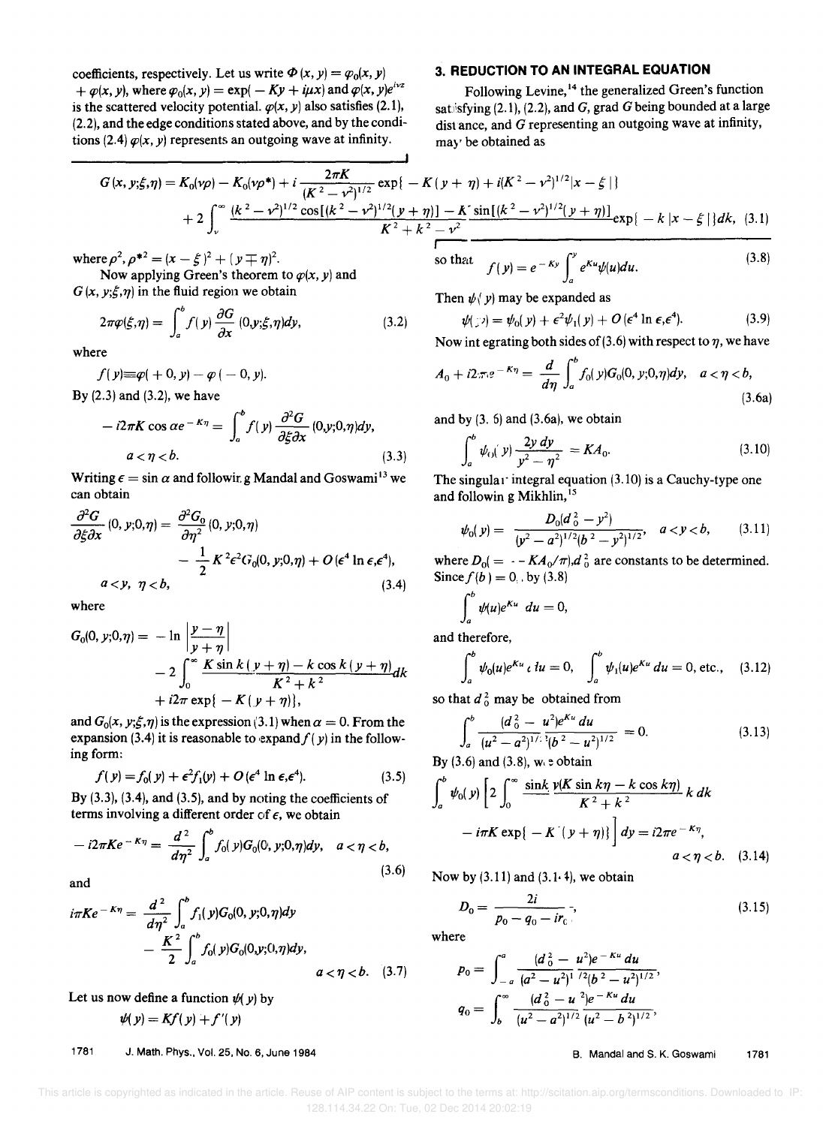coefficients, respectively. Let us write  $\Phi(x, y) = \varphi_0(x, y)$  $+\varphi(x, y)$ , where  $\varphi_0(x, y) = \exp(-Ky + i\mu x)$  and  $\varphi(x, y)e^{i\nu z}$ is the scattered velocity potential.  $\varphi(x, y)$  also satisfies (2.1), (2.2), and the edge conditions stated above, and by the conditions (2.4)  $\varphi(x, y)$  represents an outgoing wave at infinity.

### 3. **REDUCTION TO AN INTEGRAL EQUATION**

Following Levine,<sup>14</sup> the generalized Green's function satlisfying (2.1), (2.2), and *G,* grad *G* being bounded at a large dist ance, and *G* representing an outgoing wave at infinity, may be obtained as

$$
G(x, y; \xi, \eta) = K_0(\nu \rho) - K_0(\nu \rho^*) + i \frac{2\pi K}{(K^2 - \nu^2)^{1/2}} \exp\{-K(y + \eta) + i(K^2 - \nu^2)^{1/2}|x - \xi|\}
$$
  
+ 
$$
2 \int_v^{\infty} \frac{(k^2 - \nu^2)^{1/2} \cos[(k^2 - \nu^2)^{1/2}(y + \eta)] - K}{K^2 + k^2 - \nu^2} \frac{\sin[(k^2 - \nu^2)^{1/2}(y + \eta)]}{K^2 + k^2 - \nu^2} \exp\{-k|x - \xi|\} dk, (3.1)
$$

where  $\rho^2$ ,  $\rho^{*2} = (x - \xi)^2 + (y \mp \eta)^2$ .

Now applying Green's theorem to  $\varphi(x, y)$  and  $G(x, y; \xi, \eta)$  in the fluid region we obtain

$$
2\pi\varphi(\xi,\eta) = \int_a^b f(y) \frac{\partial G}{\partial x} (0,y;\xi,\eta) dy, \qquad (3.2)
$$

where

 $f(y) \equiv \varphi( + 0, y) - \varphi( -0, y).$ 

By (2.3) and (3.2), we have

$$
-i2\pi K \cos \alpha e^{-K\eta} = \int_a^b f(y) \frac{\partial^2 G}{\partial \xi \partial x} (0, y; 0, \eta) dy,
$$
  

$$
a < \eta < b.
$$
 (3.3)

Writing  $\epsilon = \sin \alpha$  and followir. g Mandal and Goswami<sup>13</sup> we can obtain

$$
\frac{\partial^2 G}{\partial \xi \partial x}(0, y; 0, \eta) = \frac{\partial^2 G_0}{\partial \eta^2}(0, y; 0, \eta)
$$
  
 
$$
- \frac{1}{2} K^2 \epsilon^2 G_0(0, y; 0, \eta) + O(\epsilon^4 \ln \epsilon, \epsilon^4),
$$
  
 
$$
a < y, \ \eta < b,
$$
 (3.4)

where

where  
\n
$$
G_0(0, y; 0, \eta) = -\ln \left| \frac{y - \eta}{y + \eta} \right|
$$
\n
$$
- 2 \int_0^\infty \frac{K \sin k (y + \eta) - k \cos k (y + \eta)}{K^2 + k^2} dk
$$
\n
$$
+ i2\pi \exp \{-K (y + \eta)\},
$$

and  $G_0(x, y; \xi, \eta)$  is the expression (3.1) when  $\alpha = 0$ . From the expansion (3.4) it is reasonable to expand  $f(y)$  in the following form:

$$
f(y) = f_0(y) + \epsilon^2 f_1(y) + O(\epsilon^4 \ln \epsilon, \epsilon^4).
$$
 (3.5)

By (3.3), (3.4), and (3.5), and by noting the coefficients of terms involving a different order of  $\epsilon$ , we obtain

$$
-i2\pi Ke^{-K\eta} = \frac{d^2}{d\eta^2} \int_a^b f_0(y)G_0(0, y; 0, \eta)dy, \quad a < \eta < b,
$$
\n(3.6)

and

$$
i\pi Ke^{-K\eta} = \frac{d^2}{d\eta^2} \int_a^b f_1(y)G_0(0, y; 0, \eta) dy - \frac{K^2}{2} \int_a^b f_0(y)G_0(0, y; 0, \eta) dy, \qquad a < \eta < b. \quad (3.7)
$$

Let us now define a function  $\psi(y)$  by

$$
\psi(y) = Kf(y) + f'(y)
$$

1781 J. Math, Phys., Vol. 25, No. 6, June 1984

so that 
$$
f(y) = e^{-Ky} \int_a^y e^{Ku} \psi(u) du.
$$
 (3.8)  
Then  $\psi(y)$  may be expanded as

$$
\psi(\mathbf{y}) = \psi_0(\mathbf{y}) + \epsilon^2 \psi_1(\mathbf{y}) + O(\epsilon^4 \ln \epsilon, \epsilon^4). \tag{3.9}
$$

Now int egrating both sides of (3.6) with respect to  $\eta$ , we have

$$
A_0 + i2\pi e^{-K\eta} = \frac{d}{d\eta} \int_a^b f_0(y)G_0(0, y; 0, \eta) dy, \quad a < \eta < b,
$$
\n(3.6a)

and by  $(3. 6)$  and  $(3.6a)$ , we obtain

$$
\int_{a}^{b} \psi_{0}(y) \frac{2y \, dy}{y^2 - \eta^2} = KA_0.
$$
\nThe singular integral equation (3.10) is a Cauchy-type one

and followin g Mikhlin,<sup>15</sup>

$$
\psi_0(y) = \frac{D_0(d_0^2 - y^2)}{(y^2 - a^2)^{1/2}(b^2 - y^2)^{1/2}}, \quad a < y < b,
$$
 (3.11)

where  $D_0 = -K A_0 / \pi$ ,  $d_0^2$  are constants to be determined. Since  $f(b) = 0$ . by (3.8)

$$
\int_a^b \psi(u)e^{Ku} \, du = 0,
$$

and therefore,

$$
\int_a^b \psi_0(u) e^{Ku} \, du = 0, \quad \int_a^b \psi_1(u) e^{Ku} \, du = 0, \text{ etc.,} \quad (3.12)
$$

so that  $d_0^2$  may be obtained from

$$
\int_{a}^{b} \frac{(d_0^2 - u^2)e^{Ku} du}{(u^2 - a^2)^{1/2} \cdot (b^2 - u^2)^{1/2}} = 0.
$$
 (3.13)

By  $(3.6)$  and  $(3.8)$ , we obtain

$$
\int_{a}^{b} \psi_{0}(y) \left[ 2 \int_{0}^{\infty} \frac{\sin k}{k^{2} + k^{2}} \frac{\psi(K \sin k\eta - k \cos k\eta)}{K^{2} + k^{2}} k dk - i\pi K \exp\{-K(\psi + \eta)\}\right] dy = i2\pi e^{-K\eta},
$$
\n
$$
a < \eta < b. \quad (3.14)
$$

Now by  $(3.11)$  and  $(3.1.4)$ , we obtain

$$
D_0 = \frac{2i}{p_0 - q_0 - ir_c},\tag{3.15}
$$

where

$$
p_0 = \int_{-a}^{a} \frac{(d_0^2 - u^2)e^{-ku} du}{(a^2 - u^2)^{1/2}} q_0 = \int_{b}^{\infty} \frac{(d_0^2 - u^2)e^{-ku} du}{(u^2 - a^2)^{1/2}} q_0 = \frac{d_0^2 - u^2}{(u^2 - a^2)^{1/2}} q_0 = \frac{d_0^2 - u^2}{(u^2 - a^2)^{1/2}},
$$

B, Mandai and S, K, Goswami 1781

This article is copyrighted as indicated in the article. Reuse of AIP content is subject to the terms at: http://scitation.aip.org/termsconditions. Downloaded to IP: 128.114.34.22 On: Tue, 02 Dec 2014 20:02:19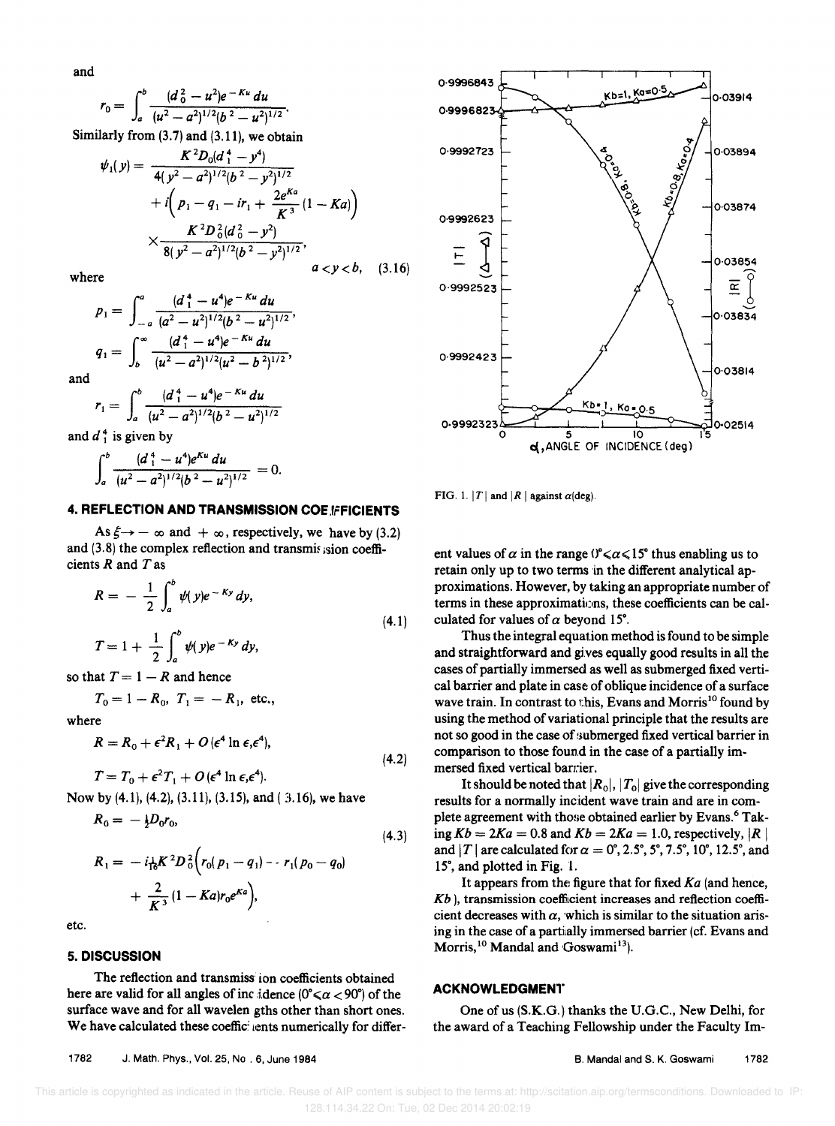and

$$
r_0=\int_a^b\frac{(d_0^2-u^2)e^{-Ku}\,du}{(u^2-a^2)^{1/2}(b^2-u^2)^{1/2}}.
$$

Similarly from  $(3.7)$  and  $(3.11)$ , we obtain

$$
\psi_1(y) = \frac{K^2 D_0 (d_1^2 - y^4)}{4 (y^2 - a^2)^{1/2} (b^2 - y^2)^{1/2}} \n+ i \left( p_1 - q_1 - ir_1 + \frac{2e^{ka}}{K^3} (1 - Ka) \right) \n\times \frac{K^2 D_0^2 (d_0^2 - y^2)}{8 (y^2 - a^2)^{1/2} (b^2 - y^2)^{1/2}}, \quad a < y < b, \quad (3.16)
$$

where

$$
p_1 = \int_{-a}^{a} \frac{(d_1^4 - u^4)e^{-Ku} du}{(a^2 - u^2)^{1/2}(b^2 - u^2)^{1/2}},
$$
  
\n
$$
q_1 = \int_{b}^{\infty} \frac{(d_1^4 - u^4)e^{-Ku} du}{(u^2 - a^2)^{1/2}(u^2 - b^2)^{1/2}},
$$

and

$$
r_1 = \int_a^b \frac{(d_1^2 - u^4)e^{-\kappa u} du}{(u^2 - a^2)^{1/2}(b^2 - u^2)^{1/2}}
$$

and  $d_1^4$  is given by

$$
\int_a^b \frac{(d_1^4 - u^4)e^{Ku} du}{(u^2 - a^2)^{1/2}(b^2 - u^2)^{1/2}} = 0.
$$

### 4. REFLECTION AND TRANSMISSION COE FFICIENTS

As  $\xi \rightarrow -\infty$  and  $+\infty$ , respectively, we have by (3.2) and (3.8) the complex reflection and transmission coefficients  $R$  and  $T$  as

$$
R = -\frac{1}{2} \int_{a}^{b} \psi(y) e^{-Ky} dy,
$$
  
\n
$$
T = 1 + \frac{1}{2} \int_{a}^{b} \psi(y) e^{-Ky} dy,
$$
  
\nhat T = 1 - R and hence

so that 7 K and hence

$$
T_0 = 1 - R_0
$$
,  $T_1 = -R_1$ , etc.,

 $T = T_0 + \epsilon^2 T_1 + O(\epsilon^4 \ln \epsilon \cdot \epsilon^4).$ 

where

$$
R = R_0 + \epsilon^2 R_1 + O(\epsilon^4 \ln \epsilon, \epsilon^4),
$$
\n(4.2)

Now by (4.1), (4.2), (3.11), (3.15), and (3.16), we have

$$
R_0 = -\frac{1}{2}D_0 r_0,
$$
  
\n
$$
R_1 = -i\frac{1}{16}K^2 D_0^2 \left( r_0 (p_1 - q_1) - r_1 (p_0 - q_0) + \frac{2}{K^3} (1 - Ka) r_0 e^{Ka} \right),
$$
\n(4.3)

etc.

# 5. DISCUSSION

The reflection and transmiss ion coefficients obtained here are valid for all angles of inc idence  $(0^{\circ} \le \alpha < 90^{\circ})$  of the surface wave and for all wavelen gths other than short ones. We have calculated these coefficilents numerically for differ-



FIG. 1. |T| and |R| against  $\alpha$ (deg).

ent values of  $\alpha$  in the range ( $\alpha \le 15$ ° thus enabling us to retain only up to two terms in the different analytical approximations. However, by taking an appropriate number of terms in these approximations, these coefficients can be calculated for values of  $\alpha$  beyond 15°.

Thus the integral equation method is found to be simple and straightforward and gives equally good results in all the cases of partially immersed as well as submerged fixed vertical barrier and plate in case of oblique incidence of a surface wave train. In contrast to this, Evans and Morris<sup>10</sup> found by using the method of variational principle that the results are not so good in the case of submerged fixed vertical barrier in comparison to those found in the case of a partially immersed fixed vertical barrier.

It should be noted that  $|R_0|, |T_0|$  give the corresponding results for a normally incident wave train and are in complete agreement with those obtained earlier by Evans.<sup>6</sup> Taking  $Kb = 2Ka = 0.8$  and  $Kb = 2Ka = 1.0$ , respectively, |R | and | T | are calculated for  $\alpha = 0^{\circ}$ , 2.5°, 5°, 7.5°, 10°, 12.5°, and 15°, and plotted in Fig. 1.

It appears from the figure that for fixed  $Ka$  (and hence,  $Kb$ ), transmission coefficient increases and reflection coefficient decreases with  $\alpha$ , which is similar to the situation arising in the case of a partially immersed barrier (cf. Evans and Morris,<sup>10</sup> Mandal and Goswami<sup>13</sup>).

# **ACKNOWLEDGMENT**

One of us (S.K.G.) thanks the U.G.C., New Delhi, for the award of a Teaching Fellowship under the Faculty Im-

1782 J. Math. Phys., Vol. 25, No . 6, June 1984